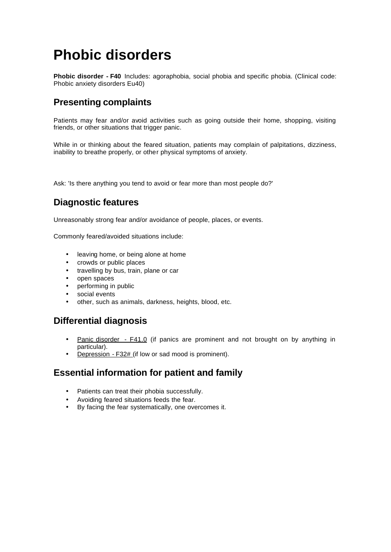# **Phobic disorders**

**Phobic disorder - F40** Includes: agoraphobia, social phobia and specific phobia. (Clinical code: Phobic anxiety disorders Eu40)

# **Presenting complaints**

Patients may fear and/or avoid activities such as going outside their home, shopping, visiting friends, or other situations that trigger panic.

While in or thinking about the feared situation, patients may complain of palpitations, dizziness, inability to breathe properly, or other physical symptoms of anxiety.

Ask: 'Is there anything you tend to avoid or fear more than most people do?'

# **Diagnostic features**

Unreasonably strong fear and/or avoidance of people, places, or events.

Commonly feared/avoided situations include:

- leaving home, or being alone at home
- crowds or public places
- travelling by bus, train, plane or car
- open spaces
- performing in public
- social events
- other, such as animals, darkness, heights, blood, etc.

## **Differential diagnosis**

- Panic disorder F41.0 (if panics are prominent and not brought on by anything in particular).
- Depression F32# (if low or sad mood is prominent).

### **Essential information for patient and family**

- Patients can treat their phobia successfully.
- Avoiding feared situations feeds the fear.
- By facing the fear systematically, one overcomes it.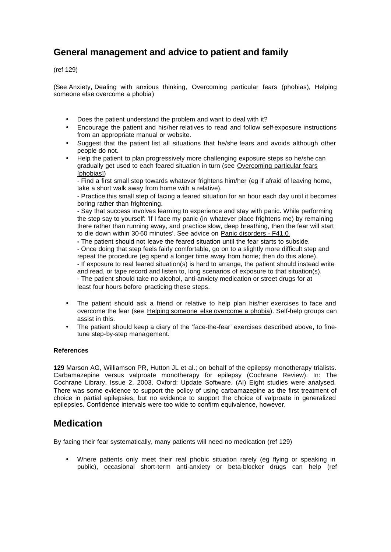# **General management and advice to patient and family**

(ref 129)

(See Anxiety, Dealing with anxious thinking, Overcoming particular fears (phobias), Helping someone else overcome a phobia)

- Does the patient understand the problem and want to deal with it?
- Encourage the patient and his/her relatives to read and follow self-exposure instructions from an appropriate manual or website.
- Suggest that the patient list all situations that he/she fears and avoids although other people do not.
- Help the patient to plan progressively more challenging exposure steps so he/she can gradually get used to each feared situation in turn (see Overcoming particular fears [phobias])

- Find a first small step towards whatever frightens him/her (eg if afraid of leaving home, take a short walk away from home with a relative).

- Practice this small step of facing a feared situation for an hour each day until it becomes boring rather than frightening.

- Say that success involves learning to experience and stay with panic. While performing the step say to yourself: 'If I face my panic (in whatever place frightens me) by remaining there rather than running away, and practice slow, deep breathing, then the fear will start to die down within 30-60 minutes'. See advice on Panic disorders - F41.0.

**-** The patient should not leave the feared situation until the fear starts to subside.

- Once doing that step feels fairly comfortable, go on to a slightly more difficult step and repeat the procedure (eg spend a longer time away from home; then do this alone).

- If exposure to real feared situation(s) is hard to arrange, the patient should instead write and read, or tape record and listen to, long scenarios of exposure to that situation(s). - The patient should take no alcohol, anti-anxiety medication or street drugs for at least four hours before practicing these steps.

- The patient should ask a friend or relative to help plan his/her exercises to face and overcome the fear (see Helping someone else overcome a phobia). Self-help groups can assist in this.
- The patient should keep a diary of the 'face-the-fear' exercises described above, to finetune step-by-step management.

#### **References**

**129** Marson AG, Williamson PR, Hutton JL et al.; on behalf of the epilepsy monotherapy trialists. Carbamazepine versus valproate monotherapy for epilepsy (Cochrane Review). In: The Cochrane Library, Issue 2, 2003. Oxford: Update Software. (AI) Eight studies were analysed. There was some evidence to support the policy of using carbamazepine as the first treatment of choice in partial epilepsies, but no evidence to support the choice of valproate in generalized epilepsies. Confidence intervals were too wide to confirm equivalence, however.

### **Medication**

By facing their fear systematically, many patients will need no medication (ref 129)

• Where patients only meet their real phobic situation rarely (eg flying or speaking in public), occasional short-term anti-anxiety or beta-blocker drugs can help (ref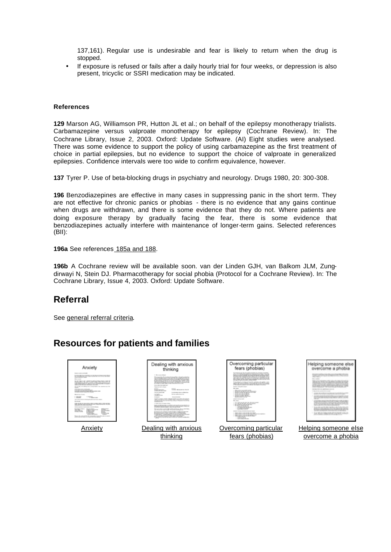137,161). Regular use is undesirable and fear is likely to return when the drug is stopped.

If exposure is refused or fails after a daily hourly trial for four weeks, or depression is also present, tricyclic or SSRI medication may be indicated.

#### **References**

**129** Marson AG, Williamson PR, Hutton JL et al.; on behalf of the epilepsy monotherapy trialists. Carbamazepine versus valproate monotherapy for epilepsy (Cochrane Review). In: The Cochrane Library, Issue 2, 2003. Oxford: Update Software. (AI) Eight studies were analysed. There was some evidence to support the policy of using carbamazepine as the first treatment of choice in partial epilepsies, but no evidence to support the choice of valproate in generalized epilepsies. Confidence intervals were too wide to confirm equivalence, however.

**137** Tyrer P. Use of beta-blocking drugs in psychiatry and neurology. Drugs 1980, 20: 300-308.

**196** Benzodiazepines are effective in many cases in suppressing panic in the short term. They are not effective for chronic panics or phobias - there is no evidence that any gains continue when drugs are withdrawn, and there is some evidence that they do not. Where patients are doing exposure therapy by gradually facing the fear, there is some evidence that benzodiazepines actually interfere with maintenance of longer-term gains. Selected references (BII):

#### **196a** See references 185a and 188.

**196b** A Cochrane review will be available soon. van der Linden GJH, van Balkom JLM, Zungdirwayi N, Stein DJ. Pharmacotherapy for social phobia (Protocol for a Cochrane Review). In: The Cochrane Library, Issue 4, 2003. Oxford: Update Software.

### **Referral**

See general referral criteria.

### **Resources for patients and families**